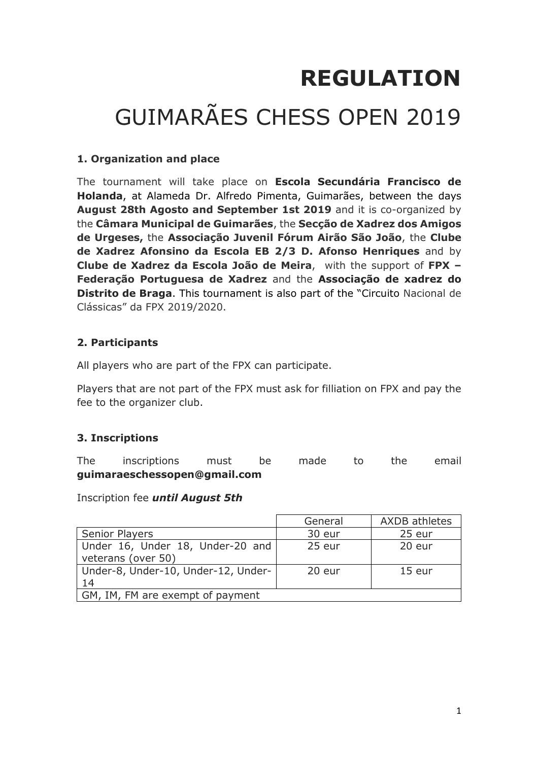# **REGULATION** GUIMARÃES CHESS OPEN 2019

## **1. Organization and place**

The tournament will take place on **Escola Secundária Francisco de Holanda**, at Alameda Dr. Alfredo Pimenta, Guimarães, between the days **August 28th Agosto and September 1st 2019** and it is co-organized by the **Câmara Municipal de Guimarães**, the **Secção de Xadrez dos Amigos de Urgeses,** the **Associação Juvenil Fórum Airão São João**, the **Clube de Xadrez Afonsino da Escola EB 2/3 D. Afonso Henriques** and by **Clube de Xadrez da Escola João de Meira**, with the support of **FPX – Federação Portuguesa de Xadrez** and the **Associação de xadrez do Distrito de Braga**. This tournament is also part of the "Circuito Nacional de Clássicas" da FPX 2019/2020.

# **2. Participants**

All players who are part of the FPX can participate.

Players that are not part of the FPX must ask for filliation on FPX and pay the fee to the organizer club.

# **3. Inscriptions**

The inscriptions must be made to the email **guimaraeschessopen@gmail.com**

Inscription fee *until August 5th* 

|                                     | General | <b>AXDB</b> athletes |  |  |
|-------------------------------------|---------|----------------------|--|--|
| <b>Senior Players</b>               | 30 eur  | 25 eur               |  |  |
| Under 16, Under 18, Under-20 and    | 25 eur  | 20 eur               |  |  |
| veterans (over 50)                  |         |                      |  |  |
| Under-8, Under-10, Under-12, Under- | 20 eur  | $15$ eur             |  |  |
| 14                                  |         |                      |  |  |
| GM, IM, FM are exempt of payment    |         |                      |  |  |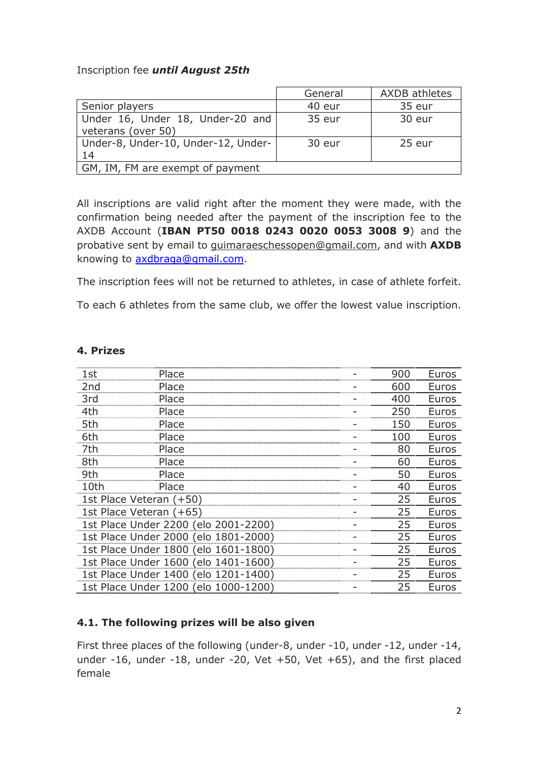#### Inscription fee *until August 25th*

|                                     | General | <b>AXDB</b> athletes |
|-------------------------------------|---------|----------------------|
| Senior players                      | 40 eur  | 35 eur               |
| Under 16, Under 18, Under-20 and    | 35 eur  | 30 eur               |
| veterans (over 50)                  |         |                      |
| Under-8, Under-10, Under-12, Under- | 30 eur  | 25 eur               |
| 14                                  |         |                      |
| GM, IM, FM are exempt of payment    |         |                      |

All inscriptions are valid right after the moment they were made, with the confirmation being needed after the payment of the inscription fee to the AXDB Account (**IBAN PT50 0018 0243 0020 0053 3008 9**) and the probative sent by email to guimaraeschessopen@gmail.com, and with **AXDB** knowing to axdbraga@gmail.com.

The inscription fees will not be returned to athletes, in case of athlete forfeit.

To each 6 athletes from the same club, we offer the lowest value inscription.

#### **4. Prizes**

| 1st             | Place                                | 900 | Euros |
|-----------------|--------------------------------------|-----|-------|
| 2 <sub>nd</sub> | Place                                | 600 | Euros |
| 3rd             | Place                                | 400 | Euros |
| 4th             | Place                                | 250 | Euros |
| 5th             | Place                                | 150 | Euros |
| 6th             | Place                                | 100 | Euros |
| 7th             | Place                                | 80  | Euros |
| 8th             | Place                                | 60  | Euros |
| 9th             | Place                                | 50  | Euros |
| 10th            | Place                                | 40  | Euros |
|                 | 1st Place Veteran (+50)              | 25  | Euros |
|                 | 1st Place Veteran (+65)              | 25  | Euros |
|                 | 1st Place Under 2200 (elo 2001-2200) | 25  | Euros |
|                 | 1st Place Under 2000 (elo 1801-2000) | 25  | Euros |
|                 | 1st Place Under 1800 (elo 1601-1800) | 25  | Euros |
|                 | 1st Place Under 1600 (elo 1401-1600) | 25  | Euros |
|                 | 1st Place Under 1400 (elo 1201-1400) | 25  | Euros |
|                 | 1st Place Under 1200 (elo 1000-1200) | 25  | Euros |
|                 |                                      |     |       |

## **4.1. The following prizes will be also given**

First three places of the following (under-8, under -10, under -12, under -14, under -16, under -18, under -20, Vet +50, Vet +65), and the first placed female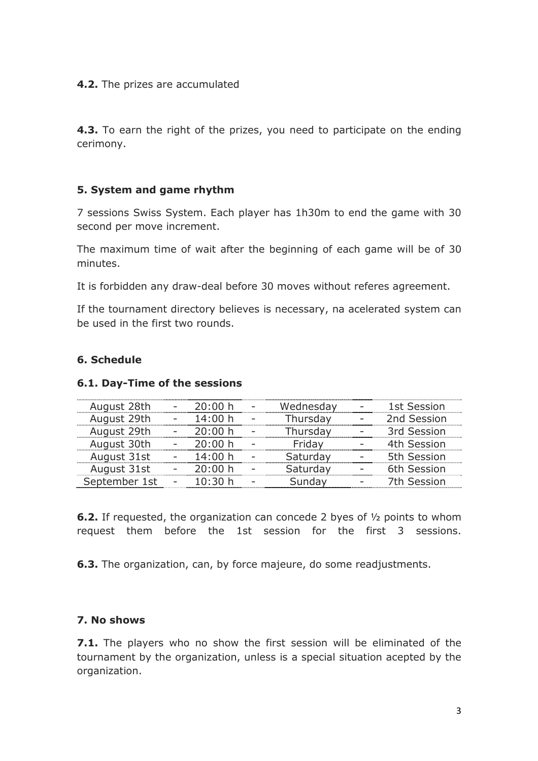#### **4.2.** The prizes are accumulated

**4.3.** To earn the right of the prizes, you need to participate on the ending cerimony.

### **5. System and game rhythm**

7 sessions Swiss System. Each player has 1h30m to end the game with 30 second per move increment.

The maximum time of wait after the beginning of each game will be of 30 minutes.

It is forbidden any draw-deal before 30 moves without referes agreement.

If the tournament directory believes is necessary, na acelerated system can be used in the first two rounds.

#### **6. Schedule**

#### **6.1. Day-Time of the sessions**

| August 28th   | 20:00 h | Wednesdav | 1st Session |
|---------------|---------|-----------|-------------|
| August 29th   | 14:00 h | Thursday  | 2nd Session |
| August 29th   | 20:00 h | Thursdav  | 3rd Session |
| August 30th   | 20:00 h | Fridav    | 4th Session |
| August 31st   | 14:00 h | Saturday  | 5th Session |
| August 31st   | 20:00 h | Saturday  | 6th Session |
| September 1st | 10:30 h | Sunday    | 7th Session |
|               |         |           |             |

**6.2.** If requested, the organization can concede 2 byes of ½ points to whom request them before the 1st session for the first 3 sessions.

**6.3.** The organization, can, by force majeure, do some readjustments.

## **7. No shows**

**7.1.** The players who no show the first session will be eliminated of the tournament by the organization, unless is a special situation acepted by the organization.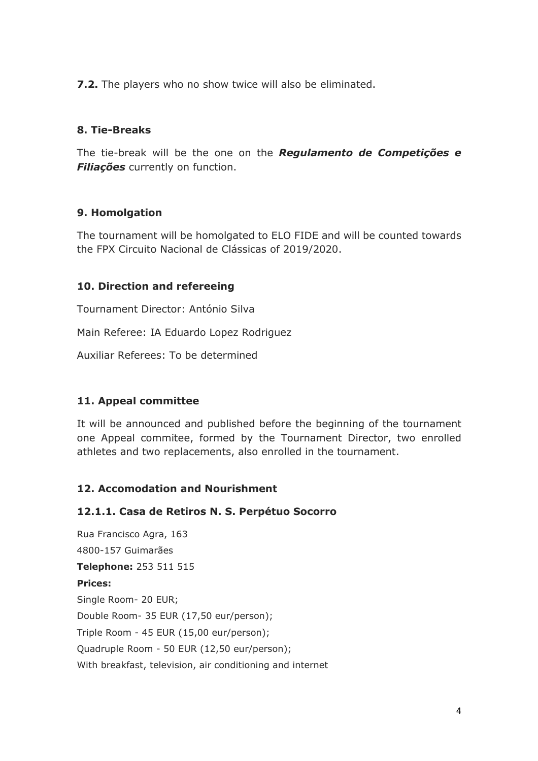**7.2.** The players who no show twice will also be eliminated.

### **8. Tie-Breaks**

The tie-break will be the one on the *Regulamento de Competições e Filiações* currently on function.

#### **9. Homolgation**

The tournament will be homolgated to ELO FIDE and will be counted towards the FPX Circuito Nacional de Clássicas of 2019/2020.

#### **10. Direction and refereeing**

Tournament Director: António Silva

Main Referee: IA Eduardo Lopez Rodriguez

Auxiliar Referees: To be determined

#### **11. Appeal committee**

It will be announced and published before the beginning of the tournament one Appeal commitee, formed by the Tournament Director, two enrolled athletes and two replacements, also enrolled in the tournament.

#### **12. Accomodation and Nourishment**

#### **12.1.1. Casa de Retiros N. S. Perpétuo Socorro**

Rua Francisco Agra, 163 4800-157 Guimarães **Telephone:** 253 511 515 **Prices:**  Single Room- 20 EUR; Double Room- 35 EUR (17,50 eur/person); Triple Room - 45 EUR (15,00 eur/person); Quadruple Room - 50 EUR (12,50 eur/person); With breakfast, television, air conditioning and internet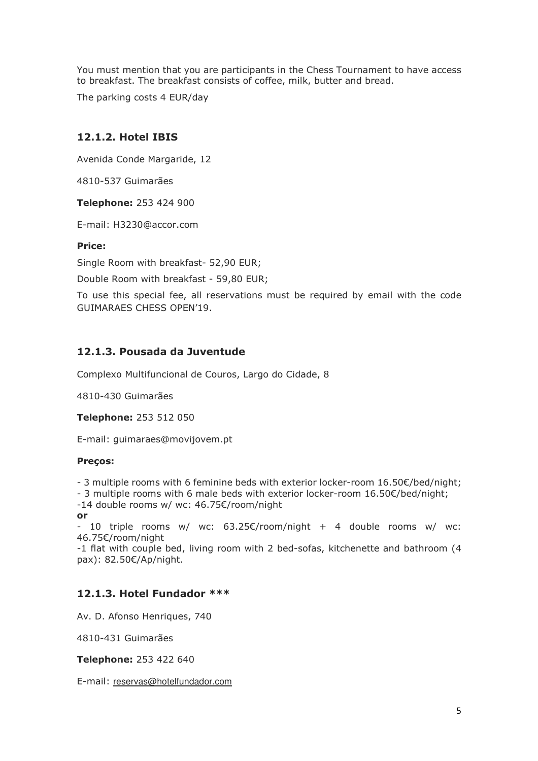You must mention that you are participants in the Chess Tournament to have access to breakfast. The breakfast consists of coffee, milk, butter and bread.

The parking costs 4 EUR/day

#### **12.1.2. Hotel IBIS**

Avenida Conde Margaride, 12

4810-537 Guimarães

**Telephone:** 253 424 900

E-mail: H3230@accor.com

#### **Price:**

Single Room with breakfast- 52,90 EUR;

Double Room with breakfast - 59,80 EUR;

To use this special fee, all reservations must be required by email with the code GUIMARAES CHESS OPEN'19.

#### **12.1.3. Pousada da Juventude**

Complexo Multifuncional de Couros, Largo do Cidade, 8

4810-430 Guimarães

**Telephone:** 253 512 050

E-mail: guimaraes@movijovem.pt

#### **Preços:**

- 3 multiple rooms with 6 feminine beds with exterior locker-room 16.50€/bed/night;

- 3 multiple rooms with 6 male beds with exterior locker-room 16.50€/bed/night;

-14 double rooms w/ wc: 46.75€/room/night

**or** 

- 10 triple rooms w/ wc:  $63.25€/room/night + 4$  double rooms w/ wc: 46.75€/room/night

-1 flat with couple bed, living room with 2 bed-sofas, kitchenette and bathroom (4 pax): 82.50€/Ap/night.

#### **12.1.3. Hotel Fundador \*\*\***

Av. D. Afonso Henriques, 740

4810-431 Guimarães

**Telephone:** 253 422 640

E-mail: reservas@hotelfundador.com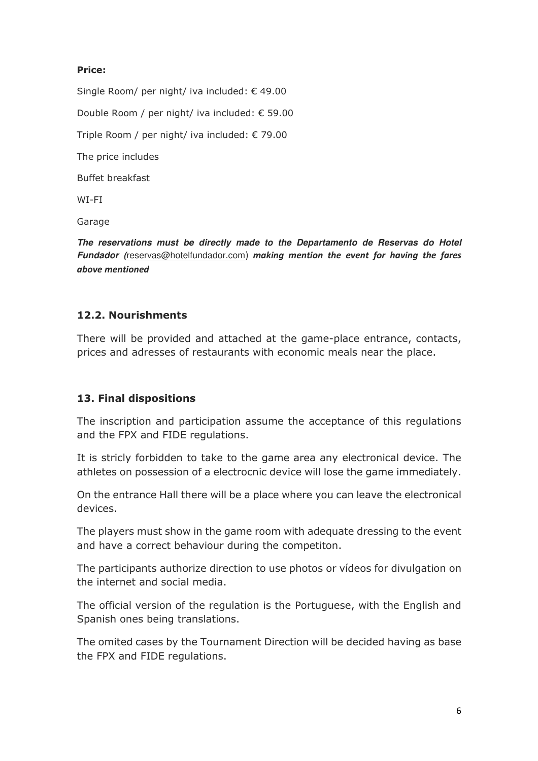#### **Price:**

Single Room/ per night/ iva included: € 49.00 Double Room / per night/ iva included: € 59.00 Triple Room / per night/ iva included: € 79.00 The price includes Buffet breakfast WI-FI

Garage

**The reservations must be directly made to the Departamento de Reservas do Hotel Fundador (**reservas@hotelfundador.com) *making mention the event for having the fares above mentioned*

#### **12.2. Nourishments**

There will be provided and attached at the game-place entrance, contacts, prices and adresses of restaurants with economic meals near the place.

#### **13. Final dispositions**

The inscription and participation assume the acceptance of this regulations and the FPX and FIDE regulations.

It is stricly forbidden to take to the game area any electronical device. The athletes on possession of a electrocnic device will lose the game immediately.

On the entrance Hall there will be a place where you can leave the electronical devices.

The players must show in the game room with adequate dressing to the event and have a correct behaviour during the competiton.

The participants authorize direction to use photos or vídeos for divulgation on the internet and social media.

The official version of the regulation is the Portuguese, with the English and Spanish ones being translations.

The omited cases by the Tournament Direction will be decided having as base the FPX and FIDE regulations.